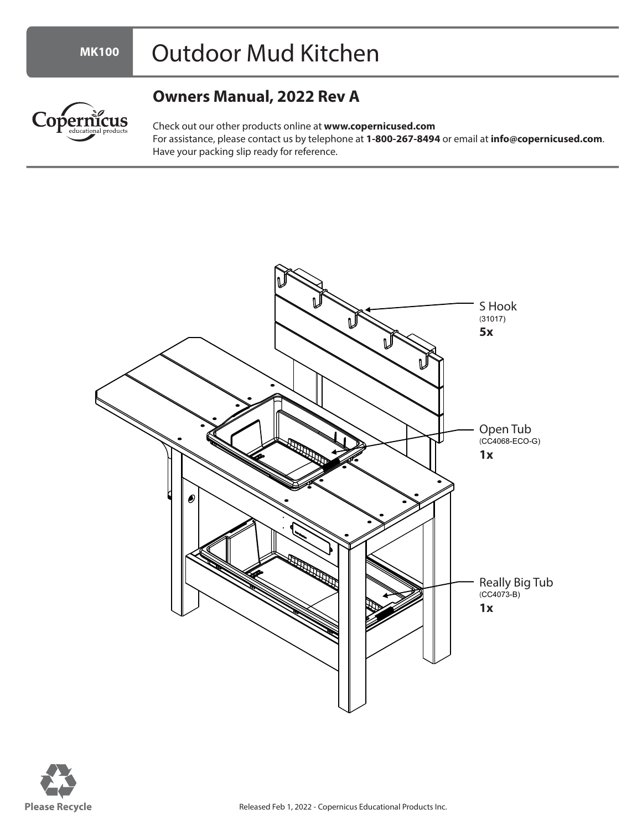## Outdoor Mud Kitchen

**MK100**

Copernicus

## **Owners Manual, 2022 Rev A**

Check out our other products online at **www.copernicused.com** For assistance, please contact us by telephone at **1-800-267-8494** or email at **info@copernicused.com**. Have your packing slip ready for reference.